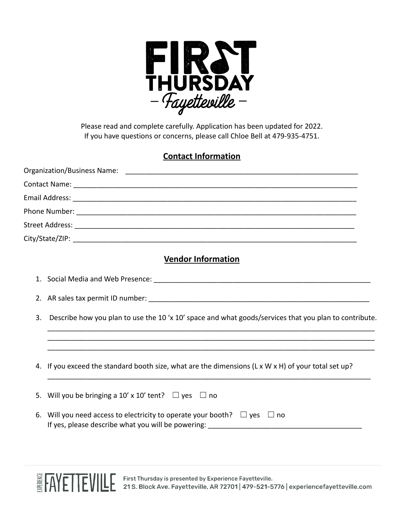

Please read and complete carefully. Application has been updated for 2022. If you have questions or concerns, please call Chloe Bell at 479-935-4751.

## **Contact Information**

| <b>Vendor Information</b>                                                                                   |
|-------------------------------------------------------------------------------------------------------------|
|                                                                                                             |
|                                                                                                             |
| Describe how you plan to use the 10 'x 10' space and what goods/services that you plan to contribute.<br>3. |
| 4. If you exceed the standard booth size, what are the dimensions (L x W x H) of your total set up?         |
| Will you be bringing a 10' x 10' tent? $\Box$ yes $\Box$ no<br>5.                                           |
| 6. Will you need access to electricity to operate your booth? $\Box$ yes $\Box$ no                          |
|                                                                                                             |

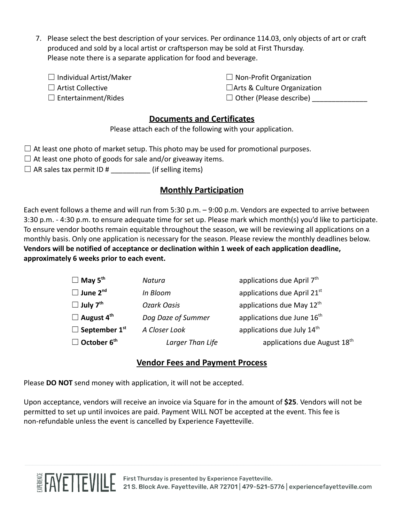- 7. Please select the best description of your services. Per ordinance 114.03, only objects of art or craft produced and sold by a local artist or craftsperson may be sold at First Thursday. Please note there is a separate application for food and beverage.
	- ☐ Individual Artist/Maker
	- ☐ Artist Collective
	- $\square$  Entertainment/Rides
- $\Box$  Non-Profit Organization
- □Arts & Culture Organization
- $\Box$  Other (Please describe)

## **Documents and Certificates**

Please attach each of the following with your application.

 $\Box$  At least one photo of market setup. This photo may be used for promotional purposes.

- $\Box$  At least one photo of goods for sale and/or giveaway items.
- $\Box$  AR sales tax permit ID # \_\_\_\_\_\_\_\_\_\_\_ (if selling items)

## **Monthly Participation**

Each event follows a theme and will run from 5:30 p.m. – 9:00 p.m. Vendors are expected to arrive between 3:30 p.m. - 4:30 p.m. to ensure adequate time for set up. Please mark which month(s) you'd like to participate. To ensure vendor booths remain equitable throughout the season, we will be reviewing all applications on a monthly basis. Only one application is necessary for the season. Please review the monthly deadlines below. **Vendors will be notified of acceptance or declination within 1 week of each application deadline, approximately 6 weeks prior to each event.**

| $\Box$ May 5 <sup>th</sup>       | Natura             | applications due April 7 <sup>th</sup>   |
|----------------------------------|--------------------|------------------------------------------|
| $\Box$ June 2 <sup>nd</sup>      | In Bloom           | applications due April 21st              |
| $\Box$ July 7 <sup>th</sup>      | <b>Ozark Oasis</b> | applications due May 12th                |
| $\Box$ August 4 <sup>th</sup>    | Dog Daze of Summer | applications due June 16 <sup>th</sup>   |
| $\Box$ September 1 <sup>st</sup> | A Closer Look      | applications due July 14 <sup>th</sup>   |
| $\Box$ October 6 <sup>th</sup>   | Larger Than Life   | applications due August 18 <sup>th</sup> |

## **Vendor Fees and Payment Process**

Please **DO NOT** send money with application, it will not be accepted.

Upon acceptance, vendors will receive an invoice via Square for in the amount of **\$25**. Vendors will not be permitted to set up until invoices are paid. Payment WILL NOT be accepted at the event. This fee is non-refundable unless the event is cancelled by Experience Fayetteville.

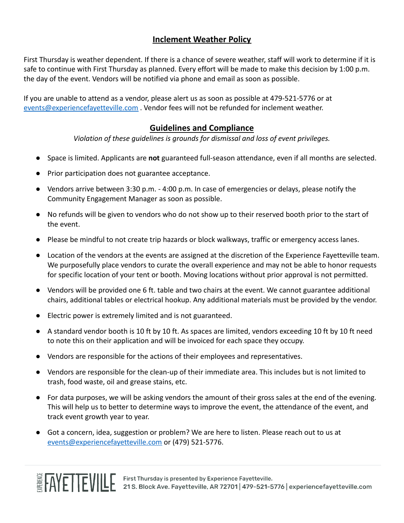## **Inclement Weather Policy**

First Thursday is weather dependent. If there is a chance of severe weather, staff will work to determine if it is safe to continue with First Thursday as planned. Every effort will be made to make this decision by 1:00 p.m. the day of the event. Vendors will be notified via phone and email as soon as possible.

If you are unable to attend as a vendor, please alert us as soon as possible at 479-521-5776 or at [events@experiencefayetteville.com](mailto:events@experiencefayetteville.com) . Vendor fees will not be refunded for inclement weather.

### **Guidelines and Compliance**

*Violation of these guidelines is grounds for dismissal and loss of event privileges.*

- Space is limited. Applicants are **not** guaranteed full-season attendance, even if all months are selected.
- Prior participation does not guarantee acceptance.
- Vendors arrive between 3:30 p.m. 4:00 p.m. In case of emergencies or delays, please notify the Community Engagement Manager as soon as possible.
- No refunds will be given to vendors who do not show up to their reserved booth prior to the start of the event.
- Please be mindful to not create trip hazards or block walkways, traffic or emergency access lanes.
- Location of the vendors at the events are assigned at the discretion of the Experience Fayetteville team. We purposefully place vendors to curate the overall experience and may not be able to honor requests for specific location of your tent or booth. Moving locations without prior approval is not permitted.
- Vendors will be provided one 6 ft. table and two chairs at the event. We cannot guarantee additional chairs, additional tables or electrical hookup. Any additional materials must be provided by the vendor.
- Electric power is extremely limited and is not guaranteed.
- A standard vendor booth is 10 ft by 10 ft. As spaces are limited, vendors exceeding 10 ft by 10 ft need to note this on their application and will be invoiced for each space they occupy.
- Vendors are responsible for the actions of their employees and representatives.
- Vendors are responsible for the clean-up of their immediate area. This includes but is not limited to trash, food waste, oil and grease stains, etc.
- For data purposes, we will be asking vendors the amount of their gross sales at the end of the evening. This will help us to better to determine ways to improve the event, the attendance of the event, and track event growth year to year.
- Got a concern, idea, suggestion or problem? We are here to listen. Please reach out to us at [events@experiencefayetteville.com](mailto:events@experiencefayetteville.com) or (479) 521-5776.

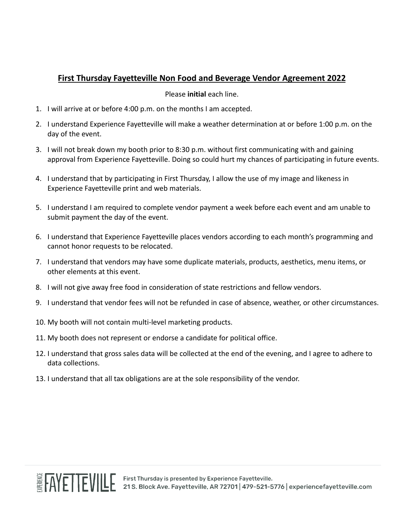# **First Thursday Fayetteville Non Food and Beverage Vendor Agreement 2022**

#### Please **initial** each line.

- 1. I will arrive at or before 4:00 p.m. on the months I am accepted.
- 2. I understand Experience Fayetteville will make a weather determination at or before 1:00 p.m. on the day of the event.
- 3. I will not break down my booth prior to 8:30 p.m. without first communicating with and gaining approval from Experience Fayetteville. Doing so could hurt my chances of participating in future events.
- 4. I understand that by participating in First Thursday, I allow the use of my image and likeness in Experience Fayetteville print and web materials.
- 5. I understand I am required to complete vendor payment a week before each event and am unable to submit payment the day of the event.
- 6. I understand that Experience Fayetteville places vendors according to each month's programming and cannot honor requests to be relocated.
- 7. I understand that vendors may have some duplicate materials, products, aesthetics, menu items, or other elements at this event.
- 8. I will not give away free food in consideration of state restrictions and fellow vendors.
- 9. I understand that vendor fees will not be refunded in case of absence, weather, or other circumstances.
- 10. My booth will not contain multi-level marketing products.
- 11. My booth does not represent or endorse a candidate for political office.
- 12. I understand that gross sales data will be collected at the end of the evening, and I agree to adhere to data collections.
- 13. I understand that all tax obligations are at the sole responsibility of the vendor.